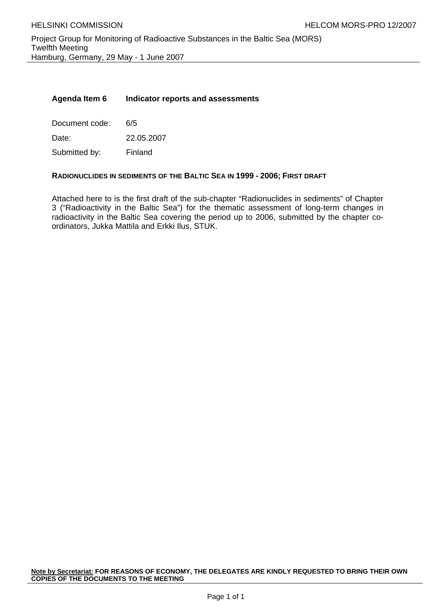### **Agenda Item 6 Indicator reports and assessments**

Document code: 6/5 Date: 22.05.2007

Submitted by: Finland

### **RADIONUCLIDES IN SEDIMENTS OF THE BALTIC SEA IN 1999 - 2006; FIRST DRAFT**

Attached here to is the first draft of the sub-chapter "Radionuclides in sediments" of Chapter 3 ("Radioactivity in the Baltic Sea") for the thematic assessment of long-term changes in radioactivity in the Baltic Sea covering the period up to 2006, submitted by the chapter coordinators, Jukka Mattila and Erkki Ilus, STUK.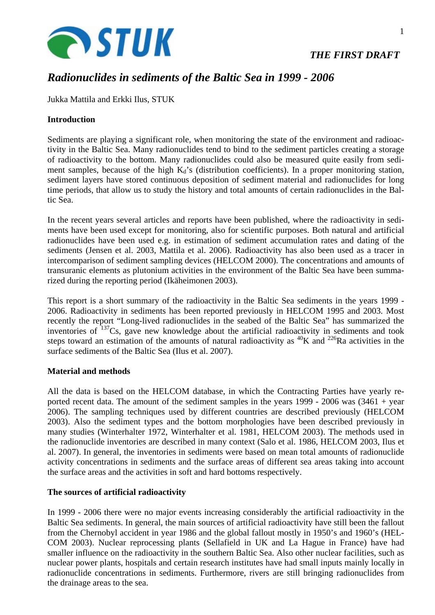

# *Radionuclides in sediments of the Baltic Sea in 1999 - 2006*

Jukka Mattila and Erkki Ilus, STUK

## **Introduction**

Sediments are playing a significant role, when monitoring the state of the environment and radioactivity in the Baltic Sea. Many radionuclides tend to bind to the sediment particles creating a storage of radioactivity to the bottom. Many radionuclides could also be measured quite easily from sediment samples, because of the high  $K_d$ 's (distribution coefficients). In a proper monitoring station, sediment layers have stored continuous deposition of sediment material and radionuclides for long time periods, that allow us to study the history and total amounts of certain radionuclides in the Baltic Sea.

In the recent years several articles and reports have been published, where the radioactivity in sediments have been used except for monitoring, also for scientific purposes. Both natural and artificial radionuclides have been used e.g. in estimation of sediment accumulation rates and dating of the sediments (Jensen et al. 2003, Mattila et al. 2006). Radioactivity has also been used as a tracer in intercomparison of sediment sampling devices (HELCOM 2000). The concentrations and amounts of transuranic elements as plutonium activities in the environment of the Baltic Sea have been summarized during the reporting period (Ikäheimonen 2003).

This report is a short summary of the radioactivity in the Baltic Sea sediments in the years 1999 - 2006. Radioactivity in sediments has been reported previously in HELCOM 1995 and 2003. Most recently the report "Long-lived radionuclides in the seabed of the Baltic Sea" has summarized the inventories of 137Cs, gave new knowledge about the artificial radioactivity in sediments and took steps toward an estimation of the amounts of natural radioactivity as <sup>40</sup>K and <sup>226</sup>Ra activities in the surface sediments of the Baltic Sea (Ilus et al. 2007).

### **Material and methods**

All the data is based on the HELCOM database, in which the Contracting Parties have yearly reported recent data. The amount of the sediment samples in the years 1999 - 2006 was (3461 + year 2006). The sampling techniques used by different countries are described previously (HELCOM 2003). Also the sediment types and the bottom morphologies have been described previously in many studies (Winterhalter 1972, Winterhalter et al. 1981, HELCOM 2003). The methods used in the radionuclide inventories are described in many context (Salo et al. 1986, HELCOM 2003, Ilus et al. 2007). In general, the inventories in sediments were based on mean total amounts of radionuclide activity concentrations in sediments and the surface areas of different sea areas taking into account the surface areas and the activities in soft and hard bottoms respectively.

### **The sources of artificial radioactivity**

In 1999 - 2006 there were no major events increasing considerably the artificial radioactivity in the Baltic Sea sediments. In general, the main sources of artificial radioactivity have still been the fallout from the Chernobyl accident in year 1986 and the global fallout mostly in 1950's and 1960's (HEL-COM 2003). Nuclear reprocessing plants (Sellafield in UK and La Hague in France) have had smaller influence on the radioactivity in the southern Baltic Sea. Also other nuclear facilities, such as nuclear power plants, hospitals and certain research institutes have had small inputs mainly locally in radionuclide concentrations in sediments. Furthermore, rivers are still bringing radionuclides from the drainage areas to the sea.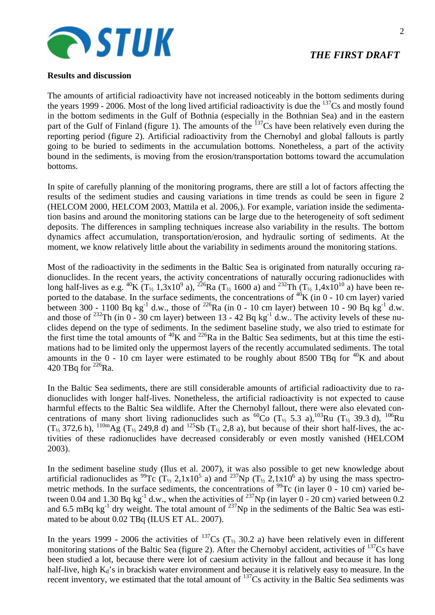

### **Results and discussion**

The amounts of artificial radioactivity have not increased noticeably in the bottom sediments during the years 1999 - 2006. Most of the long lived artificial radioactivity is due the  $^{137}Cs$  and mostly found in the bottom sediments in the Gulf of Bothnia (especially in the Bothnian Sea) and in the eastern part of the Gulf of Finland (figure 1). The amounts of the  $137<sup>7</sup>Cs$  have been relatively even during the reporting period (figure 2). Artificial radioactivity from the Chernobyl and global fallouts is partly going to be buried to sediments in the accumulation bottoms. Nonetheless, a part of the activity bound in the sediments, is moving from the erosion/transportation bottoms toward the accumulation bottoms.

In spite of carefully planning of the monitoring programs, there are still a lot of factors affecting the results of the sediment studies and causing variations in time trends as could be seen in figure 2 (HELCOM 2000, HELCOM 2003, Mattila et al. 2006,). For example, variation inside the sedimentation basins and around the monitoring stations can be large due to the heterogeneity of soft sediment deposits. The differences in sampling techniques increase also variability in the results. The bottom dynamics affect accumulation, transportation/erosion, and hydraulic sorting of sediments. At the moment, we know relatively little about the variability in sediments around the monitoring stations.

Most of the radioactivity in the sediments in the Baltic Sea is originated from naturally occuring radionuclides. In the recent years, the activity concentrations of naturally occuring radionuclides with long half-lives as e.g. <sup>40</sup>K (T<sub>1/2</sub> 1,3x10<sup>9</sup> a), <sup>226</sup>Ra (T<sub>1/2</sub> 1600 a) and <sup>232</sup>Th (T<sub>1/2</sub> 1,4x10<sup>10</sup> a) have been reported to the database. In the surface sediments, the concentrations of  ${}^{40}$ K (in 0 - 10 cm layer) varied between 300 - 1100 Bq kg<sup>-1</sup> d.w., those of <sup>226</sup>Ra (in 0 - 10 cm layer) between 10 - 90 Bq kg<sup>-1</sup> d.w. and those of  $^{232}$ Th (in 0 - 30 cm layer) between 13 - 42 Bq kg<sup>-1</sup> d.w.. The activity levels of these nuclides depend on the type of sediments. In the sediment baseline study, we also tried to estimate for the first time the total amounts of  ${}^{40}$ K and  ${}^{226}$ Ra in the Baltic Sea sediments, but at this time the estimations had to be limited only the uppermost layers of the recently accumulated sediments. The total amounts in the 0 - 10 cm layer were estimated to be roughly about 8500 TBq for  ${}^{40}$ K and about 420 TBq for  $^{226}$ Ra.

In the Baltic Sea sediments, there are still considerable amounts of artificial radioactivity due to radionuclides with longer half-lives. Nonetheless, the artificial radioactivity is not expected to cause harmful effects to the Baltic Sea wildlife. After the Chernobyl fallout, there were also elevated concentrations of many short living radionuclides such as <sup>60</sup>Co (T<sub>1/2</sub> 5.3 a),<sup>103</sup>Ru (T<sub>1/2</sub> 39.3 d), <sup>106</sup>Ru  $(T_{1/2}$  372,6 h),  $^{110m}$ Ag (T<sub>1/2</sub> 249,8 d) and  $^{125}$ Sb (T<sub>1/2</sub> 2,8 a), but because of their short half-lives, the activities of these radionuclides have decreased considerably or even mostly vanished (HELCOM 2003).

In the sediment baseline study (Ilus et al. 2007), it was also possible to get new knowledge about artificial radionuclides as <sup>99</sup>Tc (T<sub>1/2</sub> 2,1x10<sup>5</sup> a) and <sup>237</sup>Np (T<sub>1/2</sub> 2,1x10<sup>6</sup> a) by using the mass spectrometric methods. In the surface sediments, the concentrations of  $^{99}$ Tc (in layer 0 - 10 cm) varied between 0.04 and 1.30 Bq kg<sup>-1</sup> d.w., when the activities of <sup>237</sup>Np (in layer 0 - 20 cm) varied between 0.2 and 6.5 mBq kg<sup>-1</sup> dry weight. The total amount of  $^{237}$ Np in the sediments of the Baltic Sea was estimated to be about 0.02 TBq (ILUS ET AL. 2007).

In the years 1999 - 2006 the activities of  $^{137}Cs$  (T<sub>1/2</sub> 30.2 a) have been relatively even in different monitoring stations of the Baltic Sea (figure 2). After the Chernobyl accident, activities of  $^{137}Cs$  have been studied a lot, because there were lot of caesium activity in the fallout and because it has long half-live, high  $K_d$ 's in brackish water environment and because it is relatively easy to measure. In the recent inventory, we estimated that the total amount of  $^{137}Cs$  activity in the Baltic Sea sediments was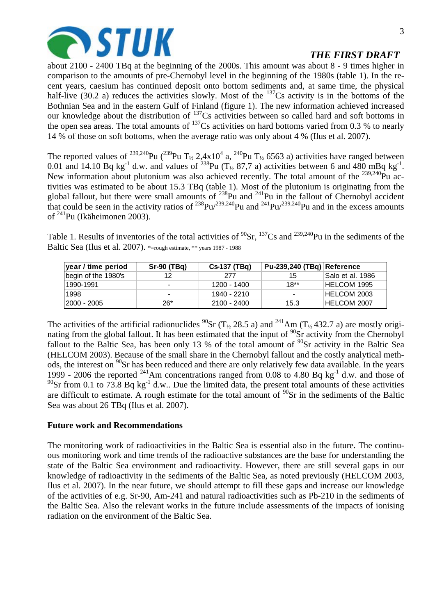

about 2100 - 2400 TBq at the beginning of the 2000s. This amount was about 8 - 9 times higher in comparison to the amounts of pre-Chernobyl level in the beginning of the 1980s (table 1). In the recent years, caesium has continued deposit onto bottom sediments and, at same time, the physical half-live (30.2 a) reduces the activities slowly. Most of the  $137Cs$  activity is in the bottoms of the Bothnian Sea and in the eastern Gulf of Finland (figure 1). The new information achieved increased our knowledge about the distribution of  $^{137}Cs$  activities between so called hard and soft bottoms in the open sea areas. The total amounts of  $^{137}Cs$  activities on hard bottoms varied from 0.3 % to nearly 14 % of those on soft bottoms, when the average ratio was only about 4 % (Ilus et al. 2007).

The reported values of <sup>239,240</sup>Pu (<sup>239</sup>Pu T<sub>1/2</sub> 2,4x10<sup>4</sup> a, <sup>240</sup>Pu T<sub>1/2</sub> 6563 a) activities have ranged between 0.01 and 14.10 Bq kg<sup>-1</sup> d.w. and values of <sup>238</sup>Pu (T<sub>1/2</sub> 87,7 a) activities between 6 and 480 mBq kg<sup>-1</sup>. New information about plutonium was also achieved recently. The total amount of the <sup>239,240</sup>Pu activities was estimated to be about 15.3 TBq (table 1). Most of the plutonium is originating from the global fallout, but there were small amounts of  $^{238}$ Pu and  $^{241}$ Pu in the fallout of Chernobyl accident that could be seen in the activity ratios of  $^{238}Pu^{239,240}Pu$  and  $^{241}Pu^{239,240}Pu$  and in the excess amounts of 241Pu (Ikäheimonen 2003).

Table 1. Results of inventories of the total activities of  ${}^{90}Sr$ ,  ${}^{137}Cs$  and  ${}^{239,240}Pu$  in the sediments of the Baltic Sea (Ilus et al. 2007). \*=rough estimate, \*\* years 1987 - 1988

| year / time period  | Sr-90 (TBq)     | Cs-137 (TBq) | Pu-239,240 (TBq) Reference |                   |
|---------------------|-----------------|--------------|----------------------------|-------------------|
| begin of the 1980's | 12              | 277          | 15                         | ⊺Salo et al. 1986 |
| 11990-1991          | $\qquad \qquad$ | 1200 - 1400  | 18**                       | HELCOM 1995       |
| 1998                | $\,$            | 1940 - 2210  | $\,$                       | HELCOM 2003       |
| 12000 - 2005        | 26*             | 2100 - 2400  | 15.3                       | HELCOM 2007       |

The activities of the artificial radionuclides <sup>90</sup>Sr (T<sub>1/2</sub> 28.5 a) and <sup>241</sup>Am (T<sub>1/2</sub> 432.7 a) are mostly originating from the global fallout. It has been estimated that the input of <sup>90</sup>Sr activity from the Chernobyl fallout to the Baltic Sea, has been only 13 % of the total amount of  $\frac{90}{9}$ Sr activity in the Baltic Sea (HELCOM 2003). Because of the small share in the Chernobyl fallout and the costly analytical methods, the interest on <sup>90</sup>Sr has been reduced and there are only relatively few data available. In the years 1999 - 2006 the reported <sup>241</sup>Am concentrations ranged from 0.08 to 4.80 Bq kg<sup>-1</sup> d.w. and those of  $^{90}$ Sr from 0.1 to 73.8 Bq kg<sup>-1</sup> d.w.. Due the limited data, the present total amounts of these activities are difficult to estimate. A rough estimate for the total amount of  $\rm{^{90}Sr}$  in the sediments of the Baltic Sea was about 26 TBq (Ilus et al. 2007).

### **Future work and Recommendations**

The monitoring work of radioactivities in the Baltic Sea is essential also in the future. The continuous monitoring work and time trends of the radioactive substances are the base for understanding the state of the Baltic Sea environment and radioactivity. However, there are still several gaps in our knowledge of radioactivity in the sediments of the Baltic Sea, as noted previously (HELCOM 2003, Ilus et al. 2007). In the near future, we should attempt to fill these gaps and increase our knowledge of the activities of e.g. Sr-90, Am-241 and natural radioactivities such as Pb-210 in the sediments of the Baltic Sea. Also the relevant works in the future include assessments of the impacts of ionising radiation on the environment of the Baltic Sea.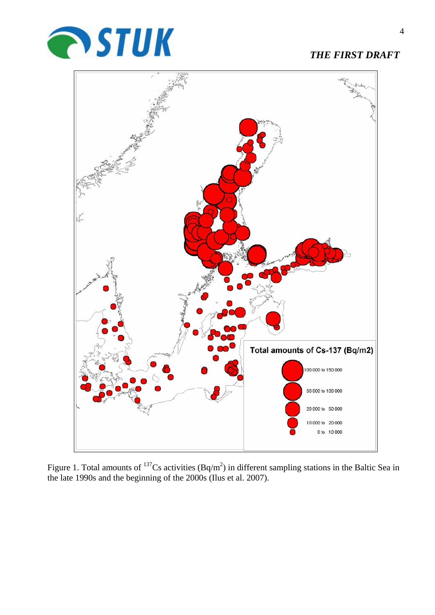



Figure 1. Total amounts of  $^{137}Cs$  activities (Bq/m<sup>2</sup>) in different sampling stations in the Baltic Sea in the late 1990s and the beginning of the 2000s (Ilus et al. 2007).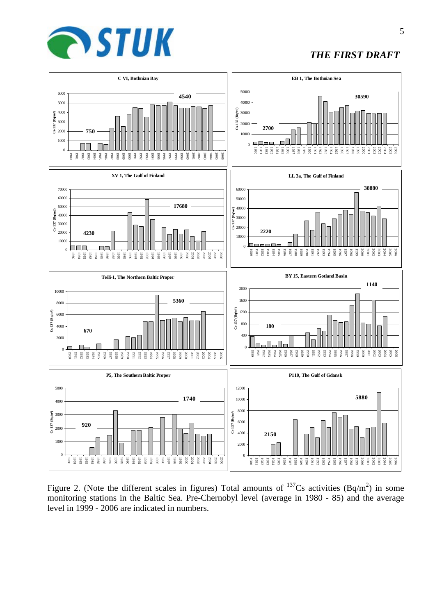



Figure 2. (Note the different scales in figures) Total amounts of  $^{137}Cs$  activities (Bq/m<sup>2</sup>) in some monitoring stations in the Baltic Sea. Pre-Chernobyl level (average in 1980 - 85) and the average level in 1999 - 2006 are indicated in numbers.